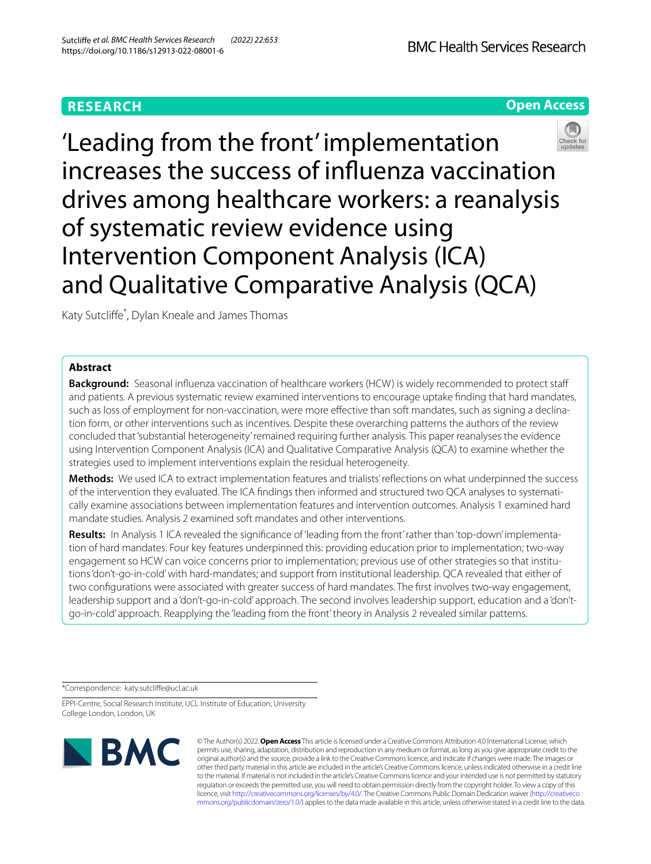# **RESEARCH**

**Open Access**



Katy Sutclife\* , Dylan Kneale and James Thomas

# **Abstract**

**Background:** Seasonal influenza vaccination of healthcare workers (HCW) is widely recommended to protect staff and patients. A previous systematic review examined interventions to encourage uptake fnding that hard mandates, such as loss of employment for non-vaccination, were more efective than soft mandates, such as signing a declination form, or other interventions such as incentives. Despite these overarching patterns the authors of the review concluded that 'substantial heterogeneity' remained requiring further analysis. This paper reanalyses the evidence using Intervention Component Analysis (ICA) and Qualitative Comparative Analysis (QCA) to examine whether the strategies used to implement interventions explain the residual heterogeneity.

**Methods:** We used ICA to extract implementation features and trialists' refections on what underpinned the success of the intervention they evaluated. The ICA fndings then informed and structured two QCA analyses to systematically examine associations between implementation features and intervention outcomes. Analysis 1 examined hard mandate studies. Analysis 2 examined soft mandates and other interventions.

**Results:** In Analysis 1 ICA revealed the signifcance of 'leading from the front' rather than 'top-down' implementation of hard mandates. Four key features underpinned this: providing education prior to implementation; two-way engagement so HCW can voice concerns prior to implementation; previous use of other strategies so that institutions 'don't-go-in-cold' with hard-mandates; and support from institutional leadership. QCA revealed that either of two confgurations were associated with greater success of hard mandates. The frst involves two-way engagement, leadership support and a 'don't-go-in-cold' approach. The second involves leadership support, education and a 'don'tgo-in-cold' approach. Reapplying the 'leading from the front' theory in Analysis 2 revealed similar patterns.

\*Correspondence: katy.sutclife@ucl.ac.uk

EPPI-Centre, Social Research Institute, UCL Institute of Education, University College London, London, UK



© The Author(s) 2022. **Open Access** This article is licensed under a Creative Commons Attribution 4.0 International License, which permits use, sharing, adaptation, distribution and reproduction in any medium or format, as long as you give appropriate credit to the original author(s) and the source, provide a link to the Creative Commons licence, and indicate if changes were made. The images or other third party material in this article are included in the article's Creative Commons licence, unless indicated otherwise in a credit line to the material. If material is not included in the article's Creative Commons licence and your intended use is not permitted by statutory regulation or exceeds the permitted use, you will need to obtain permission directly from the copyright holder. To view a copy of this licence, visit [http://creativecommons.org/licenses/by/4.0/.](http://creativecommons.org/licenses/by/4.0/) The Creative Commons Public Domain Dedication waiver ([http://creativeco](http://creativecommons.org/publicdomain/zero/1.0/) [mmons.org/publicdomain/zero/1.0/](http://creativecommons.org/publicdomain/zero/1.0/)) applies to the data made available in this article, unless otherwise stated in a credit line to the data.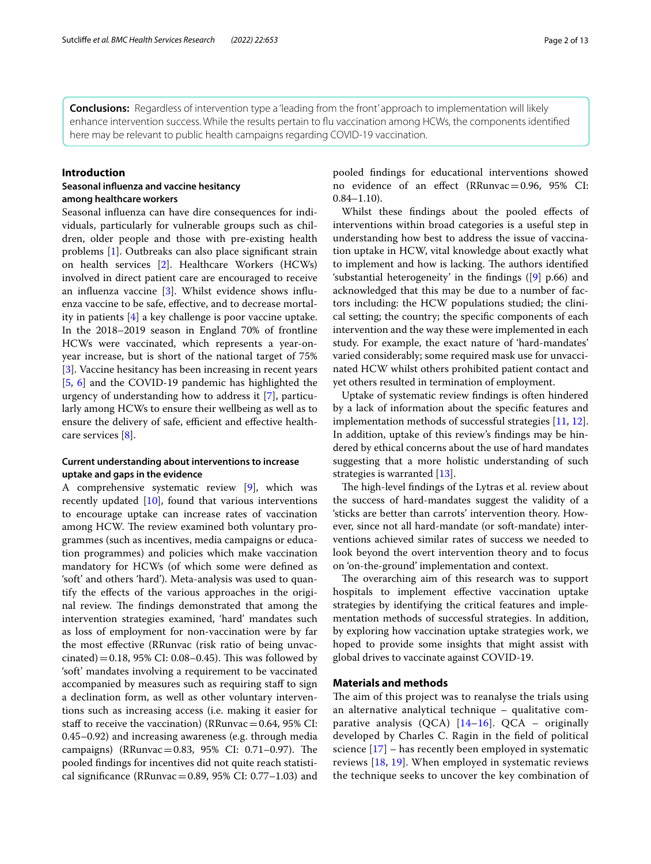**Conclusions:** Regardless of intervention type a 'leading from the front' approach to implementation will likely enhance intervention success. While the results pertain to fu vaccination among HCWs, the components identifed here may be relevant to public health campaigns regarding COVID-19 vaccination.

### **Introduction**

# **Seasonal infuenza and vaccine hesitancy among healthcare workers**

Seasonal infuenza can have dire consequences for individuals, particularly for vulnerable groups such as children, older people and those with pre-existing health problems [\[1](#page-10-0)]. Outbreaks can also place signifcant strain on health services [\[2](#page-10-1)]. Healthcare Workers (HCWs) involved in direct patient care are encouraged to receive an infuenza vaccine [\[3](#page-10-2)]. Whilst evidence shows infuenza vaccine to be safe, efective, and to decrease mortality in patients [\[4](#page-10-3)] a key challenge is poor vaccine uptake. In the 2018–2019 season in England 70% of frontline HCWs were vaccinated, which represents a year-onyear increase, but is short of the national target of 75% [[3\]](#page-10-2). Vaccine hesitancy has been increasing in recent years [[5,](#page-10-4) [6](#page-10-5)] and the COVID-19 pandemic has highlighted the urgency of understanding how to address it [\[7](#page-10-6)], particularly among HCWs to ensure their wellbeing as well as to ensure the delivery of safe, efficient and effective healthcare services [[8\]](#page-10-7).

# **Current understanding about interventions to increase uptake and gaps in the evidence**

A comprehensive systematic review [\[9](#page-10-8)], which was recently updated [\[10](#page-10-9)], found that various interventions to encourage uptake can increase rates of vaccination among HCW. The review examined both voluntary programmes (such as incentives, media campaigns or education programmes) and policies which make vaccination mandatory for HCWs (of which some were defned as 'soft' and others 'hard'). Meta-analysis was used to quantify the efects of the various approaches in the original review. The findings demonstrated that among the intervention strategies examined, 'hard' mandates such as loss of employment for non-vaccination were by far the most efective (RRunvac (risk ratio of being unvaccinated) = 0.18, 95% CI: 0.08–0.45). This was followed by 'soft' mandates involving a requirement to be vaccinated accompanied by measures such as requiring staff to sign a declination form, as well as other voluntary interventions such as increasing access (i.e. making it easier for staff to receive the vaccination) (RRunvac =  $0.64$ ,  $95\%$  CI: 0.45–0.92) and increasing awareness (e.g. through media campaigns) (RRunvac = 0.83, 95% CI: 0.71-0.97). The pooled fndings for incentives did not quite reach statistical significance (RRunvac =  $0.89$ , 95% CI:  $0.77-1.03$ ) and pooled fndings for educational interventions showed no evidence of an efect (RRunvac=0.96, 95% CI:  $0.84 - 1.10$ .

Whilst these fndings about the pooled efects of interventions within broad categories is a useful step in understanding how best to address the issue of vaccination uptake in HCW, vital knowledge about exactly what to implement and how is lacking. The authors identified 'substantial heterogeneity' in the findings  $([9]$  $([9]$  $([9]$  p.66) and acknowledged that this may be due to a number of factors including: the HCW populations studied; the clinical setting; the country; the specifc components of each intervention and the way these were implemented in each study. For example, the exact nature of 'hard-mandates' varied considerably; some required mask use for unvaccinated HCW whilst others prohibited patient contact and yet others resulted in termination of employment.

Uptake of systematic review fndings is often hindered by a lack of information about the specifc features and implementation methods of successful strategies [[11,](#page-10-10) [12](#page-11-0)]. In addition, uptake of this review's fndings may be hindered by ethical concerns about the use of hard mandates suggesting that a more holistic understanding of such strategies is warranted [[13\]](#page-11-1).

The high-level findings of the Lytras et al. review about the success of hard-mandates suggest the validity of a 'sticks are better than carrots' intervention theory. However, since not all hard-mandate (or soft-mandate) interventions achieved similar rates of success we needed to look beyond the overt intervention theory and to focus on 'on-the-ground' implementation and context.

The overarching aim of this research was to support hospitals to implement effective vaccination uptake strategies by identifying the critical features and implementation methods of successful strategies. In addition, by exploring how vaccination uptake strategies work, we hoped to provide some insights that might assist with global drives to vaccinate against COVID-19.

# **Materials and methods**

The aim of this project was to reanalyse the trials using an alternative analytical technique – qualitative comparative analysis (QCA)  $[14-16]$  $[14-16]$  $[14-16]$ . QCA – originally developed by Charles C. Ragin in the feld of political science [[17](#page-11-4)] – has recently been employed in systematic reviews [[18,](#page-11-5) [19](#page-11-6)]. When employed in systematic reviews the technique seeks to uncover the key combination of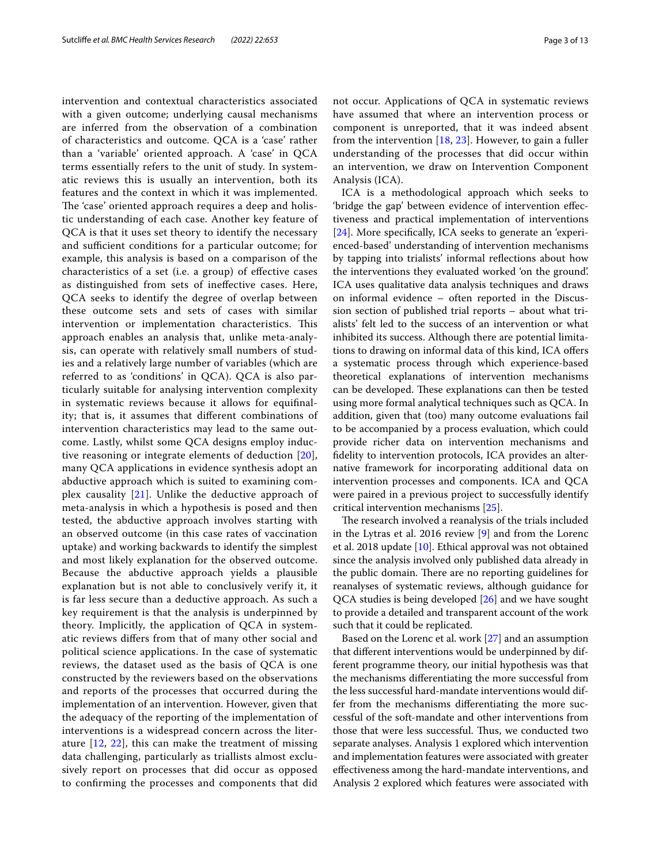intervention and contextual characteristics associated with a given outcome; underlying causal mechanisms are inferred from the observation of a combination of characteristics and outcome. QCA is a 'case' rather than a 'variable' oriented approach. A 'case' in QCA terms essentially refers to the unit of study. In systematic reviews this is usually an intervention, both its features and the context in which it was implemented. The 'case' oriented approach requires a deep and holistic understanding of each case. Another key feature of QCA is that it uses set theory to identify the necessary and sufficient conditions for a particular outcome; for example, this analysis is based on a comparison of the characteristics of a set (i.e. a group) of efective cases as distinguished from sets of inefective cases. Here, QCA seeks to identify the degree of overlap between these outcome sets and sets of cases with similar intervention or implementation characteristics. This approach enables an analysis that, unlike meta-analysis, can operate with relatively small numbers of studies and a relatively large number of variables (which are referred to as 'conditions' in QCA). QCA is also particularly suitable for analysing intervention complexity in systematic reviews because it allows for equifnality; that is, it assumes that diferent combinations of intervention characteristics may lead to the same outcome. Lastly, whilst some QCA designs employ inductive reasoning or integrate elements of deduction [[20\]](#page-11-7), many QCA applications in evidence synthesis adopt an abductive approach which is suited to examining complex causality [[21](#page-11-8)]. Unlike the deductive approach of meta-analysis in which a hypothesis is posed and then tested, the abductive approach involves starting with an observed outcome (in this case rates of vaccination uptake) and working backwards to identify the simplest and most likely explanation for the observed outcome. Because the abductive approach yields a plausible explanation but is not able to conclusively verify it, it is far less secure than a deductive approach. As such a key requirement is that the analysis is underpinned by theory. Implicitly, the application of QCA in systematic reviews difers from that of many other social and political science applications. In the case of systematic reviews, the dataset used as the basis of QCA is one constructed by the reviewers based on the observations and reports of the processes that occurred during the implementation of an intervention. However, given that the adequacy of the reporting of the implementation of interventions is a widespread concern across the literature [\[12](#page-11-0), [22](#page-11-9)], this can make the treatment of missing data challenging, particularly as triallists almost exclusively report on processes that did occur as opposed to confrming the processes and components that did not occur. Applications of QCA in systematic reviews have assumed that where an intervention process or component is unreported, that it was indeed absent from the intervention [[18](#page-11-5), [23](#page-11-10)]. However, to gain a fuller understanding of the processes that did occur within an intervention, we draw on Intervention Component Analysis (ICA).

ICA is a methodological approach which seeks to 'bridge the gap' between evidence of intervention efectiveness and practical implementation of interventions [[24\]](#page-11-11). More specifcally, ICA seeks to generate an 'experienced-based' understanding of intervention mechanisms by tapping into trialists' informal refections about how the interventions they evaluated worked 'on the ground'. ICA uses qualitative data analysis techniques and draws on informal evidence – often reported in the Discussion section of published trial reports – about what trialists' felt led to the success of an intervention or what inhibited its success. Although there are potential limitations to drawing on informal data of this kind, ICA ofers a systematic process through which experience-based theoretical explanations of intervention mechanisms can be developed. These explanations can then be tested using more formal analytical techniques such as QCA. In addition, given that (too) many outcome evaluations fail to be accompanied by a process evaluation, which could provide richer data on intervention mechanisms and fdelity to intervention protocols, ICA provides an alternative framework for incorporating additional data on intervention processes and components. ICA and QCA were paired in a previous project to successfully identify critical intervention mechanisms [[25\]](#page-11-12).

The research involved a reanalysis of the trials included in the Lytras et al. 2016 review [[9](#page-10-8)] and from the Lorenc et al. 2018 update [\[10](#page-10-9)]. Ethical approval was not obtained since the analysis involved only published data already in the public domain. There are no reporting guidelines for reanalyses of systematic reviews, although guidance for QCA studies is being developed [\[26](#page-11-13)] and we have sought to provide a detailed and transparent account of the work such that it could be replicated.

Based on the Lorenc et al. work [\[27](#page-11-14)] and an assumption that diferent interventions would be underpinned by different programme theory, our initial hypothesis was that the mechanisms diferentiating the more successful from the less successful hard-mandate interventions would differ from the mechanisms diferentiating the more successful of the soft-mandate and other interventions from those that were less successful. Thus, we conducted two separate analyses. Analysis 1 explored which intervention and implementation features were associated with greater efectiveness among the hard-mandate interventions, and Analysis 2 explored which features were associated with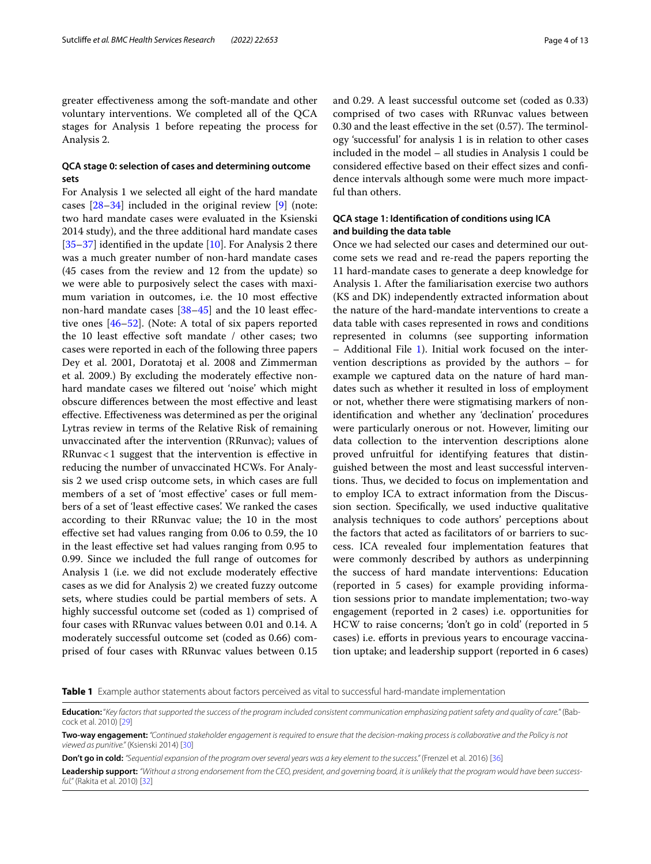greater efectiveness among the soft-mandate and other voluntary interventions. We completed all of the QCA stages for Analysis 1 before repeating the process for Analysis 2.

# **QCA stage 0: selection of cases and determining outcome sets**

For Analysis 1 we selected all eight of the hard mandate cases [[28–](#page-11-15)[34\]](#page-11-16) included in the original review [[9\]](#page-10-8) (note: two hard mandate cases were evaluated in the Ksienski 2014 study), and the three additional hard mandate cases  $[35-37]$  $[35-37]$  $[35-37]$  identified in the update  $[10]$  $[10]$ . For Analysis 2 there was a much greater number of non-hard mandate cases (45 cases from the review and 12 from the update) so we were able to purposively select the cases with maximum variation in outcomes, i.e. the 10 most efective non-hard mandate cases [\[38](#page-11-19)[–45\]](#page-11-20) and the 10 least efective ones [[46–](#page-11-21)[52](#page-12-0)]. (Note: A total of six papers reported the 10 least efective soft mandate / other cases; two cases were reported in each of the following three papers Dey et al. 2001, Doratotaj et al. 2008 and Zimmerman et al. 2009.) By excluding the moderately efective nonhard mandate cases we fltered out 'noise' which might obscure diferences between the most efective and least efective. Efectiveness was determined as per the original Lytras review in terms of the Relative Risk of remaining unvaccinated after the intervention (RRunvac); values of RRunvac<1 suggest that the intervention is efective in reducing the number of unvaccinated HCWs. For Analysis 2 we used crisp outcome sets, in which cases are full members of a set of 'most efective' cases or full members of a set of 'least efective cases'. We ranked the cases according to their RRunvac value; the 10 in the most efective set had values ranging from 0.06 to 0.59, the 10 in the least efective set had values ranging from 0.95 to 0.99. Since we included the full range of outcomes for Analysis 1 (i.e. we did not exclude moderately efective cases as we did for Analysis 2) we created fuzzy outcome sets, where studies could be partial members of sets. A highly successful outcome set (coded as 1) comprised of four cases with RRunvac values between 0.01 and 0.14. A moderately successful outcome set (coded as 0.66) comprised of four cases with RRunvac values between 0.15 and 0.29. A least successful outcome set (coded as 0.33) comprised of two cases with RRunvac values between  $0.30$  and the least effective in the set  $(0.57)$ . The terminology 'successful' for analysis 1 is in relation to other cases included in the model – all studies in Analysis 1 could be considered efective based on their efect sizes and confdence intervals although some were much more impactful than others.

# **QCA stage 1: Identifcation of conditions using ICA and building the data table**

Once we had selected our cases and determined our outcome sets we read and re-read the papers reporting the 11 hard-mandate cases to generate a deep knowledge for Analysis 1. After the familiarisation exercise two authors (KS and DK) independently extracted information about the nature of the hard-mandate interventions to create a data table with cases represented in rows and conditions represented in columns (see supporting information – Additional File [1\)](#page-10-11). Initial work focused on the intervention descriptions as provided by the authors – for example we captured data on the nature of hard mandates such as whether it resulted in loss of employment or not, whether there were stigmatising markers of nonidentifcation and whether any 'declination' procedures were particularly onerous or not. However, limiting our data collection to the intervention descriptions alone proved unfruitful for identifying features that distinguished between the most and least successful interventions. Thus, we decided to focus on implementation and to employ ICA to extract information from the Discussion section. Specifcally, we used inductive qualitative analysis techniques to code authors' perceptions about the factors that acted as facilitators of or barriers to success. ICA revealed four implementation features that were commonly described by authors as underpinning the success of hard mandate interventions: Education (reported in 5 cases) for example providing information sessions prior to mandate implementation; two-way engagement (reported in 2 cases) i.e. opportunities for HCW to raise concerns; 'don't go in cold' (reported in 5 cases) i.e. efforts in previous years to encourage vaccination uptake; and leadership support (reported in 6 cases)

<span id="page-3-0"></span>**Table 1** Example author statements about factors perceived as vital to successful hard-mandate implementation

**Don't go in cold:** *"Sequential expansion of the program over several years was a key element to the success."* (Frenzel et al. 2016) [\[36](#page-11-24)]

**Leadership support:** *"Without a strong endorsement from the CEO, president, and governing board, it is unlikely that the program would have been successful."* (Rakita et al. 2010) [[32\]](#page-11-25)

**Education:** "*Key factors that supported the success of the program included consistent communication emphasizing patient safety and quality of care.*" (Babcock et al. 2010) [\[29](#page-11-22)]

**Two-way engagement:** *"Continued stakeholder engagement is required to ensure that the decision-making process is collaborative and the Policy is not viewed as punitive."* (Ksienski 2014) [\[30](#page-11-23)]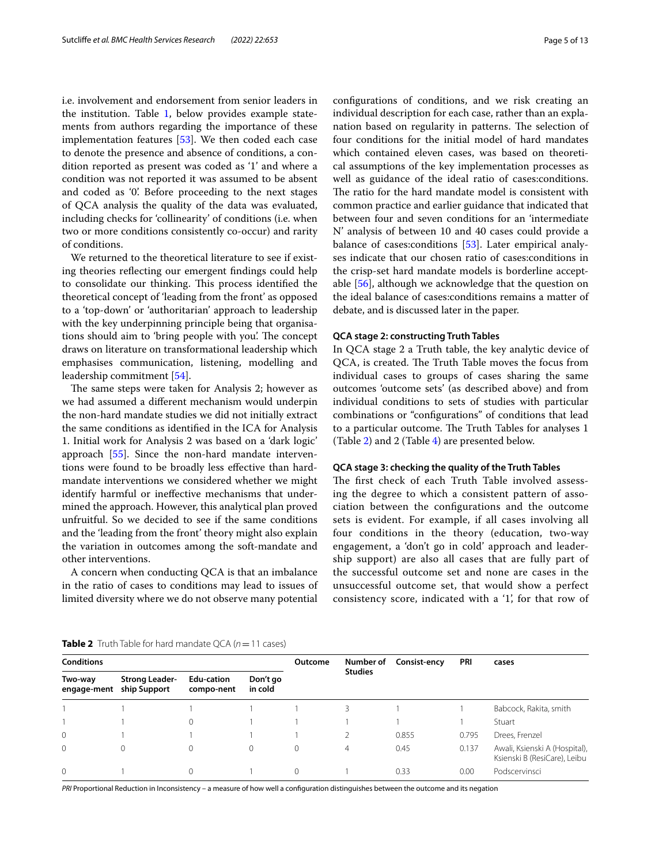i.e. involvement and endorsement from senior leaders in the institution. Table [1,](#page-3-0) below provides example statements from authors regarding the importance of these implementation features [\[53](#page-12-1)]. We then coded each case to denote the presence and absence of conditions, a condition reported as present was coded as '1' and where a condition was not reported it was assumed to be absent and coded as '0'. Before proceeding to the next stages of QCA analysis the quality of the data was evaluated, including checks for 'collinearity' of conditions (i.e. when two or more conditions consistently co-occur) and rarity of conditions.

We returned to the theoretical literature to see if existing theories refecting our emergent fndings could help to consolidate our thinking. This process identified the theoretical concept of 'leading from the front' as opposed to a 'top-down' or 'authoritarian' approach to leadership with the key underpinning principle being that organisations should aim to 'bring people with you'. The concept draws on literature on transformational leadership which emphasises communication, listening, modelling and leadership commitment [[54\]](#page-12-2).

The same steps were taken for Analysis 2; however as we had assumed a diferent mechanism would underpin the non-hard mandate studies we did not initially extract the same conditions as identifed in the ICA for Analysis 1. Initial work for Analysis 2 was based on a 'dark logic' approach [\[55\]](#page-12-3). Since the non-hard mandate interventions were found to be broadly less efective than hardmandate interventions we considered whether we might identify harmful or inefective mechanisms that undermined the approach. However, this analytical plan proved unfruitful. So we decided to see if the same conditions and the 'leading from the front' theory might also explain the variation in outcomes among the soft-mandate and other interventions.

A concern when conducting QCA is that an imbalance in the ratio of cases to conditions may lead to issues of limited diversity where we do not observe many potential confgurations of conditions, and we risk creating an individual description for each case, rather than an explanation based on regularity in patterns. The selection of four conditions for the initial model of hard mandates which contained eleven cases, was based on theoretical assumptions of the key implementation processes as well as guidance of the ideal ratio of cases:conditions. The ratio for the hard mandate model is consistent with common practice and earlier guidance that indicated that between four and seven conditions for an 'intermediate N' analysis of between 10 and 40 cases could provide a balance of cases:conditions [\[53\]](#page-12-1). Later empirical analyses indicate that our chosen ratio of cases:conditions in the crisp-set hard mandate models is borderline acceptable [\[56](#page-12-4)], although we acknowledge that the question on the ideal balance of cases:conditions remains a matter of debate, and is discussed later in the paper.

#### **QCA stage 2: constructing Truth Tables**

In QCA stage 2 a Truth table, the key analytic device of QCA, is created. The Truth Table moves the focus from individual cases to groups of cases sharing the same outcomes 'outcome sets' (as described above) and from individual conditions to sets of studies with particular combinations or "confgurations" of conditions that lead to a particular outcome. The Truth Tables for analyses 1 (Table [2\)](#page-4-0) and 2 (Table [4\)](#page-6-0) are presented below.

#### **QCA stage 3: checking the quality of the Truth Tables**

The first check of each Truth Table involved assessing the degree to which a consistent pattern of association between the confgurations and the outcome sets is evident. For example, if all cases involving all four conditions in the theory (education, two-way engagement, a 'don't go in cold' approach and leadership support) are also all cases that are fully part of the successful outcome set and none are cases in the unsuccessful outcome set, that would show a perfect consistency score, indicated with a '1', for that row of

<span id="page-4-0"></span>**Table 2** Truth Table for hard mandate QCA ( $n = 11$  cases)

**Conditions Outcome Number of Studies Consist-ency PRI cases Two-way engage-ment Strong Leadership Support Edu-cation compo-nent Don't go in cold** 1 1 1 1 1 1 3 1 1 1 1 Babcock, Rakita, smith 1 1 1 1 1 1 1 1 Stuart 0 1 1 1 1 2 0.855 0.795 Drees, Frenzel 0 0 0 0 0 0 4 0.45 0.137 Awali, Ksienski A (Hospital), Ksienski B (ResiCare), Leibu 0 1 0 1 0 1 0.33 0.00 Podscervinsci

*PRI* Proportional Reduction in Inconsistency – a measure of how well a confguration distinguishes between the outcome and its negation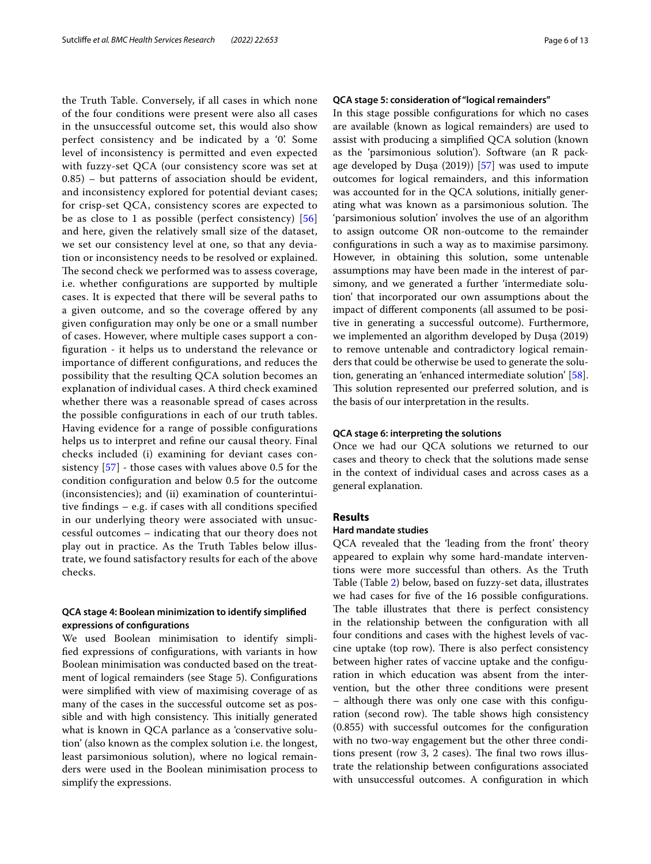the Truth Table. Conversely, if all cases in which none of the four conditions were present were also all cases in the unsuccessful outcome set, this would also show perfect consistency and be indicated by a '0'. Some level of inconsistency is permitted and even expected with fuzzy-set QCA (our consistency score was set at 0.85) – but patterns of association should be evident, and inconsistency explored for potential deviant cases; for crisp-set QCA, consistency scores are expected to be as close to 1 as possible (perfect consistency) [\[56](#page-12-4)] and here, given the relatively small size of the dataset, we set our consistency level at one, so that any deviation or inconsistency needs to be resolved or explained. The second check we performed was to assess coverage, i.e. whether confgurations are supported by multiple cases. It is expected that there will be several paths to a given outcome, and so the coverage offered by any given confguration may only be one or a small number of cases. However, where multiple cases support a confguration - it helps us to understand the relevance or importance of diferent confgurations, and reduces the possibility that the resulting QCA solution becomes an explanation of individual cases. A third check examined whether there was a reasonable spread of cases across the possible confgurations in each of our truth tables. Having evidence for a range of possible confgurations helps us to interpret and refne our causal theory. Final checks included (i) examining for deviant cases consistency [\[57\]](#page-12-5) - those cases with values above 0.5 for the condition confguration and below 0.5 for the outcome (inconsistencies); and (ii) examination of counterintuitive fndings – e.g. if cases with all conditions specifed in our underlying theory were associated with unsuccessful outcomes – indicating that our theory does not play out in practice. As the Truth Tables below illustrate, we found satisfactory results for each of the above checks.

# **QCA stage 4: Boolean minimization to identify simplifed expressions of confgurations**

We used Boolean minimisation to identify simplifed expressions of confgurations, with variants in how Boolean minimisation was conducted based on the treatment of logical remainders (see Stage 5). Confgurations were simplifed with view of maximising coverage of as many of the cases in the successful outcome set as possible and with high consistency. This initially generated what is known in QCA parlance as a 'conservative solution' (also known as the complex solution i.e. the longest, least parsimonious solution), where no logical remainders were used in the Boolean minimisation process to simplify the expressions.

### **QCA stage 5: consideration of "logical remainders"**

In this stage possible confgurations for which no cases are available (known as logical remainders) are used to assist with producing a simplifed QCA solution (known as the 'parsimonious solution'). Software (an R package developed by Duşa (2019)) [\[57\]](#page-12-5) was used to impute outcomes for logical remainders, and this information was accounted for in the QCA solutions, initially generating what was known as a parsimonious solution. The 'parsimonious solution' involves the use of an algorithm to assign outcome OR non-outcome to the remainder confgurations in such a way as to maximise parsimony. However, in obtaining this solution, some untenable assumptions may have been made in the interest of parsimony, and we generated a further 'intermediate solution' that incorporated our own assumptions about the impact of diferent components (all assumed to be positive in generating a successful outcome). Furthermore, we implemented an algorithm developed by Duşa (2019) to remove untenable and contradictory logical remainders that could be otherwise be used to generate the solution, generating an 'enhanced intermediate solution' [\[58](#page-12-6)]. This solution represented our preferred solution, and is the basis of our interpretation in the results.

### **QCA stage 6: interpreting the solutions**

Once we had our QCA solutions we returned to our cases and theory to check that the solutions made sense in the context of individual cases and across cases as a general explanation.

### **Results**

### **Hard mandate studies**

QCA revealed that the 'leading from the front' theory appeared to explain why some hard-mandate interventions were more successful than others. As the Truth Table (Table [2\)](#page-4-0) below, based on fuzzy-set data, illustrates we had cases for fve of the 16 possible confgurations. The table illustrates that there is perfect consistency in the relationship between the confguration with all four conditions and cases with the highest levels of vaccine uptake (top row). There is also perfect consistency between higher rates of vaccine uptake and the confguration in which education was absent from the intervention, but the other three conditions were present – although there was only one case with this confguration (second row). The table shows high consistency (0.855) with successful outcomes for the confguration with no two-way engagement but the other three conditions present (row 3, 2 cases). The final two rows illustrate the relationship between confgurations associated with unsuccessful outcomes. A confguration in which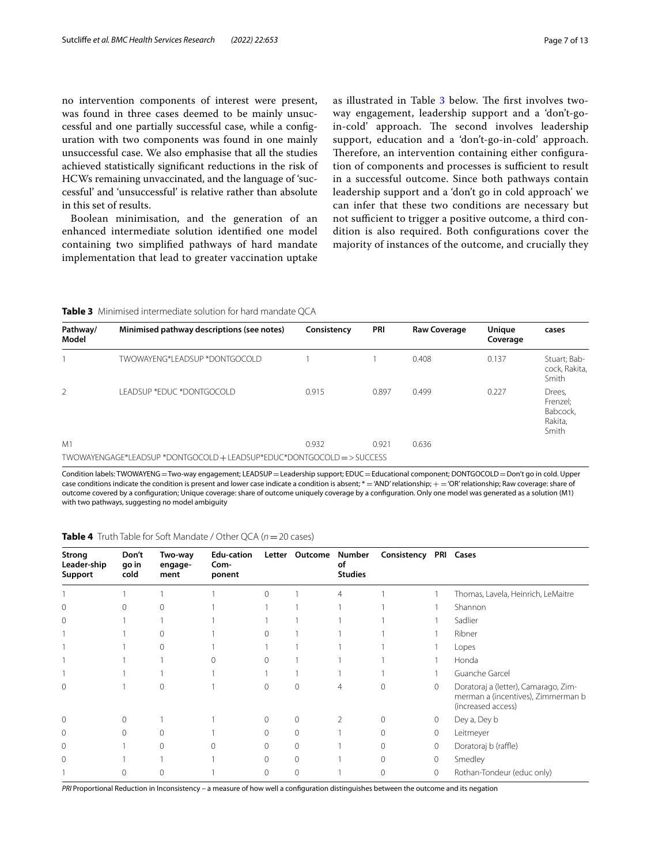no intervention components of interest were present, was found in three cases deemed to be mainly unsuccessful and one partially successful case, while a confguration with two components was found in one mainly unsuccessful case. We also emphasise that all the studies achieved statistically signifcant reductions in the risk of HCWs remaining unvaccinated, and the language of 'successful' and 'unsuccessful' is relative rather than absolute in this set of results.

Boolean minimisation, and the generation of an enhanced intermediate solution identifed one model containing two simplifed pathways of hard mandate implementation that lead to greater vaccination uptake as illustrated in Table [3](#page-6-1) below. The first involves twoway engagement, leadership support and a 'don't-goin-cold' approach. The second involves leadership support, education and a 'don't-go-in-cold' approach. Therefore, an intervention containing either configuration of components and processes is sufficient to result in a successful outcome. Since both pathways contain leadership support and a 'don't go in cold approach' we can infer that these two conditions are necessary but not sufficient to trigger a positive outcome, a third condition is also required. Both confgurations cover the majority of instances of the outcome, and crucially they

### <span id="page-6-1"></span>**Table 3** Minimised intermediate solution for hard mandate QCA

| Pathway/<br>Model | Minimised pathway descriptions (see notes)                             | Consistency | PRI   | <b>Raw Coverage</b> | Unique<br>Coverage | cases                                              |
|-------------------|------------------------------------------------------------------------|-------------|-------|---------------------|--------------------|----------------------------------------------------|
|                   | TWOWAYENG*I FADSUP *DONTGOCOLD                                         |             |       | 0.408               | 0.137              | Stuart; Bab-<br>cock, Rakita,<br>Smith             |
| 2                 | I FADSUP *EDUC *DONTGOCOLD                                             | 0.915       | 0.897 | 0.499               | 0.227              | Drees,<br>Frenzel;<br>Babcock,<br>Rakita,<br>Smith |
| M1                |                                                                        | 0.932       | 0.921 | 0.636               |                    |                                                    |
|                   | TWOWAYENGAGE*LEADSUP *DONTGOCOLD + LEADSUP*EDUC*DONTGOCOLD = > SUCCESS |             |       |                     |                    |                                                    |

Condition labels: TWOWAYENG=Two-way engagement; LEADSUP=Leadership support; EDUC=Educational component; DONTGOCOLD=Don't go in cold. Upper case conditions indicate the condition is present and lower case indicate a condition is absent; \* = 'AND' relationship; + = 'OR' relationship; Raw coverage: share of outcome covered by a confguration; Unique coverage: share of outcome uniquely coverage by a confguration. Only one model was generated as a solution (M1) with two pathways, suggesting no model ambiguity

| Strong<br>Leader-ship<br>Support | Don't<br>qo in<br>cold | Two-way<br>engage-<br>ment | Edu-cation<br>Com-<br>ponent |          | Letter Outcome | Number<br>οf<br><b>Studies</b> | Consistency PRI Cases |              |                                                                                                  |
|----------------------------------|------------------------|----------------------------|------------------------------|----------|----------------|--------------------------------|-----------------------|--------------|--------------------------------------------------------------------------------------------------|
|                                  |                        |                            |                              | $\Omega$ |                | 4                              |                       |              | Thomas, Lavela, Heinrich, LeMaitre                                                               |
| $\Omega$                         | $\cap$                 |                            |                              |          |                |                                |                       |              | Shannon                                                                                          |
| 0                                |                        |                            |                              |          |                |                                |                       |              | Sadlier                                                                                          |
|                                  |                        | 0                          |                              |          |                |                                |                       |              | Ribner                                                                                           |
|                                  |                        | 0                          |                              |          |                |                                |                       |              | Lopes                                                                                            |
|                                  |                        |                            |                              | $\Omega$ |                |                                |                       |              | Honda                                                                                            |
|                                  |                        |                            |                              |          |                |                                |                       |              | Guanche Garcel                                                                                   |
| 0                                |                        | $\Omega$                   |                              | $\Omega$ | $\Omega$       | 4                              |                       | 0            | Doratoraj a (letter), Camarago, Zim-<br>merman a (incentives), Zimmerman b<br>(increased access) |
| $\mathbf 0$                      | $\Omega$               |                            |                              | $\Omega$ | $\Omega$       |                                |                       | $\mathbf{0}$ | Dey a, Dey b                                                                                     |
| $\mathbf 0$                      | $\Omega$               | $\Omega$                   |                              | $\Omega$ | $\Omega$       |                                |                       | 0            | Leitmeyer                                                                                        |
| $\mathbf 0$                      |                        | 0                          |                              | $\Omega$ | $\Omega$       |                                |                       | 0            | Doratoraj b (raffle)                                                                             |
| $\Omega$                         |                        |                            |                              | $\Omega$ | $\Omega$       |                                |                       | $\circ$      | Smedley                                                                                          |
|                                  | $\Omega$               | $\Omega$                   |                              | $\Omega$ | $\Omega$       |                                |                       | $\Omega$     | Rothan-Tondeur (educ only)                                                                       |

<span id="page-6-0"></span>**Table 4** Truth Table for Soft Mandate / Other QCA (*n*=20 cases)

*PRI* Proportional Reduction in Inconsistency – a measure of how well a confguration distinguishes between the outcome and its negation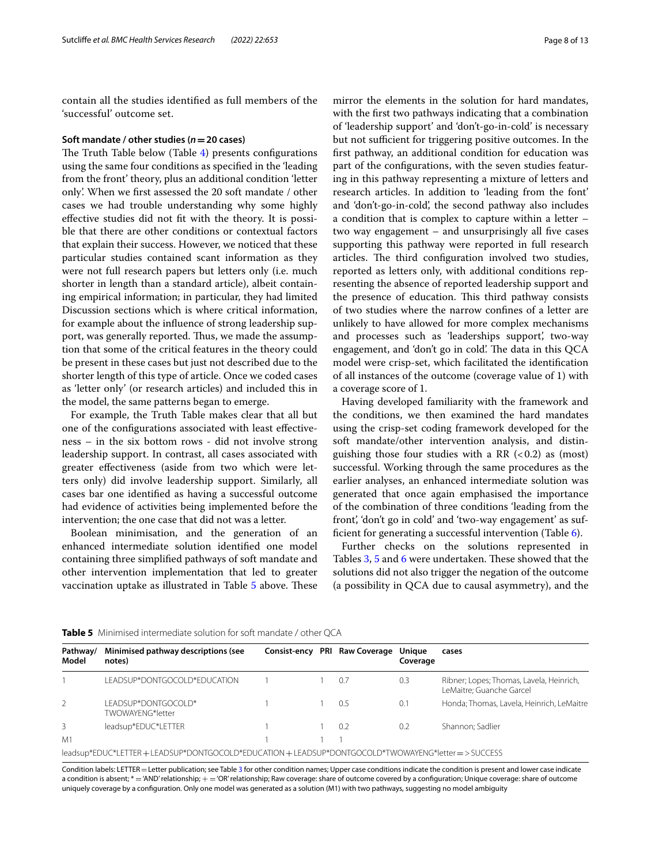contain all the studies identifed as full members of the 'successful' outcome set.

#### **Soft mandate / other studies (***n***=20 cases)**

The Truth Table below (Table  $4$ ) presents configurations using the same four conditions as specifed in the 'leading from the front' theory, plus an additional condition 'letter only'. When we frst assessed the 20 soft mandate / other cases we had trouble understanding why some highly efective studies did not ft with the theory. It is possible that there are other conditions or contextual factors that explain their success. However, we noticed that these particular studies contained scant information as they were not full research papers but letters only (i.e. much shorter in length than a standard article), albeit containing empirical information; in particular, they had limited Discussion sections which is where critical information, for example about the infuence of strong leadership support, was generally reported. Thus, we made the assumption that some of the critical features in the theory could be present in these cases but just not described due to the shorter length of this type of article. Once we coded cases as 'letter only' (or research articles) and included this in the model, the same patterns began to emerge.

For example, the Truth Table makes clear that all but one of the confgurations associated with least efectiveness – in the six bottom rows - did not involve strong leadership support. In contrast, all cases associated with greater efectiveness (aside from two which were letters only) did involve leadership support. Similarly, all cases bar one identifed as having a successful outcome had evidence of activities being implemented before the intervention; the one case that did not was a letter.

Boolean minimisation, and the generation of an enhanced intermediate solution identifed one model containing three simplifed pathways of soft mandate and other intervention implementation that led to greater vaccination uptake as illustrated in Table [5](#page-7-0) above. These

mirror the elements in the solution for hard mandates, with the frst two pathways indicating that a combination of 'leadership support' and 'don't-go-in-cold' is necessary but not sufficient for triggering positive outcomes. In the frst pathway, an additional condition for education was part of the confgurations, with the seven studies featuring in this pathway representing a mixture of letters and research articles. In addition to 'leading from the font' and 'don't-go-in-cold', the second pathway also includes a condition that is complex to capture within a letter – two way engagement  $-$  and unsurprisingly all five cases supporting this pathway were reported in full research articles. The third configuration involved two studies, reported as letters only, with additional conditions representing the absence of reported leadership support and the presence of education. This third pathway consists of two studies where the narrow confnes of a letter are unlikely to have allowed for more complex mechanisms and processes such as 'leaderships support', two-way engagement, and 'don't go in cold'. The data in this QCA model were crisp-set, which facilitated the identifcation of all instances of the outcome (coverage value of 1) with a coverage score of 1.

Having developed familiarity with the framework and the conditions, we then examined the hard mandates using the crisp-set coding framework developed for the soft mandate/other intervention analysis, and distinguishing those four studies with a RR  $( $0.2$ )$  as (most) successful. Working through the same procedures as the earlier analyses, an enhanced intermediate solution was generated that once again emphasised the importance of the combination of three conditions 'leading from the front', 'don't go in cold' and 'two-way engagement' as suffcient for generating a successful intervention (Table [6\)](#page-8-0).

Further checks on the solutions represented in Tables [3,](#page-6-1) [5](#page-7-0) and [6](#page-8-0) were undertaken. These showed that the solutions did not also trigger the negation of the outcome (a possibility in QCA due to causal asymmetry), and the

| Pathway/<br>Model | Minimised pathway descriptions (see<br>notes)                                                 |  | Consist-ency PRI Raw Coverage Unique | Coverage | cases                                                                |
|-------------------|-----------------------------------------------------------------------------------------------|--|--------------------------------------|----------|----------------------------------------------------------------------|
|                   | LEADSUP*DONTGOCOLD*EDUCATION                                                                  |  | 0.7                                  | 0.3      | Ribner; Lopes; Thomas, Lavela, Heinrich,<br>LeMaitre; Guanche Garcel |
| 2                 | LEADSUP*DONTGOCOLD*<br>TWOWAYFNG*letter                                                       |  | 0.5                                  | 0.1      | Honda; Thomas, Lavela, Heinrich, LeMaitre                            |
| 3                 | leadsup*EDUC*LETTER                                                                           |  | 0.2                                  | 0.2      | Shannon: Sadlier                                                     |
| M1                |                                                                                               |  |                                      |          |                                                                      |
|                   | leadsup*EDUC*LETTER+LEADSUP*DONTGOCOLD*EDUCATION+LEADSUP*DONTGOCOLD*TWOWAYENG*letter=>SUCCESS |  |                                      |          |                                                                      |

<span id="page-7-0"></span>**Table 5** Minimised intermediate solution for soft mandate / other QCA

Condition labels: LETTER=Letter publication; see Table [3](#page-6-1) for other condition names; Upper case conditions indicate the condition is present and lower case indicate a condition is absent; \* = 'AND' relationship; + = 'OR' relationship; Raw coverage: share of outcome covered by a configuration; Unique coverage: share of outcome uniquely coverage by a confguration. Only one model was generated as a solution (M1) with two pathways, suggesting no model ambiguity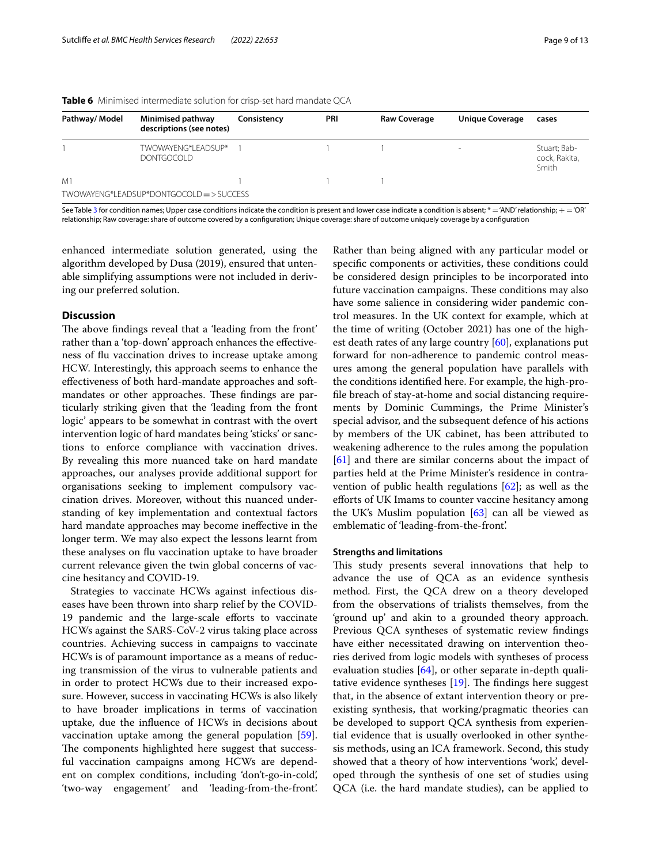| Pathway/ Model | Minimised pathway<br>descriptions (see notes) | Consistency | PRI | <b>Raw Coverage</b> | <b>Unique Coverage</b>   | cases                                  |
|----------------|-----------------------------------------------|-------------|-----|---------------------|--------------------------|----------------------------------------|
|                | TWOWAYENG*LEADSUP*<br><b>DONTGOCOLD</b>       |             |     |                     | $\overline{\phantom{a}}$ | Stuart; Bab-<br>cock, Rakita,<br>Smith |
| M1             | TWOWAYENG*LEADSUP*DONTGOCOLD => SUCCESS       |             |     |                     |                          |                                        |

<span id="page-8-0"></span>**Table 6** Minimised intermediate solution for crisp-set hard mandate QCA

See Table [3](#page-6-1) for condition names; Upper case conditions indicate the condition is present and lower case indicate a condition is absent; \* = 'AND' relationship;  $+$  = 'OR' relationship; Raw coverage: share of outcome covered by a confguration; Unique coverage: share of outcome uniquely coverage by a confguration

enhanced intermediate solution generated, using the algorithm developed by Dusa (2019), ensured that untenable simplifying assumptions were not included in deriving our preferred solution.

### **Discussion**

The above findings reveal that a 'leading from the front' rather than a 'top-down' approach enhances the efectiveness of fu vaccination drives to increase uptake among HCW. Interestingly, this approach seems to enhance the efectiveness of both hard-mandate approaches and softmandates or other approaches. These findings are particularly striking given that the 'leading from the front logic' appears to be somewhat in contrast with the overt intervention logic of hard mandates being 'sticks' or sanctions to enforce compliance with vaccination drives. By revealing this more nuanced take on hard mandate approaches, our analyses provide additional support for organisations seeking to implement compulsory vaccination drives. Moreover, without this nuanced understanding of key implementation and contextual factors hard mandate approaches may become inefective in the longer term. We may also expect the lessons learnt from these analyses on fu vaccination uptake to have broader current relevance given the twin global concerns of vaccine hesitancy and COVID-19.

Strategies to vaccinate HCWs against infectious diseases have been thrown into sharp relief by the COVID-19 pandemic and the large-scale efforts to vaccinate HCWs against the SARS-CoV-2 virus taking place across countries. Achieving success in campaigns to vaccinate HCWs is of paramount importance as a means of reducing transmission of the virus to vulnerable patients and in order to protect HCWs due to their increased exposure. However, success in vaccinating HCWs is also likely to have broader implications in terms of vaccination uptake, due the infuence of HCWs in decisions about vaccination uptake among the general population [\[59](#page-12-7)]. The components highlighted here suggest that successful vaccination campaigns among HCWs are dependent on complex conditions, including 'don't-go-in-cold', 'two-way engagement' and 'leading-from-the-front'.

Rather than being aligned with any particular model or specifc components or activities, these conditions could be considered design principles to be incorporated into future vaccination campaigns. These conditions may also have some salience in considering wider pandemic control measures. In the UK context for example, which at the time of writing (October 2021) has one of the highest death rates of any large country  $[60]$ , explanations put forward for non-adherence to pandemic control measures among the general population have parallels with the conditions identifed here. For example, the high-profle breach of stay-at-home and social distancing requirements by Dominic Cummings, the Prime Minister's special advisor, and the subsequent defence of his actions by members of the UK cabinet, has been attributed to weakening adherence to the rules among the population [[61\]](#page-12-9) and there are similar concerns about the impact of parties held at the Prime Minister's residence in contravention of public health regulations [\[62\]](#page-12-10); as well as the efforts of UK Imams to counter vaccine hesitancy among the UK's Muslim population  $[63]$  $[63]$  can all be viewed as emblematic of 'leading-from-the-front'.

#### **Strengths and limitations**

This study presents several innovations that help to advance the use of QCA as an evidence synthesis method. First, the QCA drew on a theory developed from the observations of trialists themselves, from the 'ground up' and akin to a grounded theory approach. Previous QCA syntheses of systematic review fndings have either necessitated drawing on intervention theories derived from logic models with syntheses of process evaluation studies  $[64]$  $[64]$ , or other separate in-depth qualitative evidence syntheses  $[19]$  $[19]$ . The findings here suggest that, in the absence of extant intervention theory or preexisting synthesis, that working/pragmatic theories can be developed to support QCA synthesis from experiential evidence that is usually overlooked in other synthesis methods, using an ICA framework. Second, this study showed that a theory of how interventions 'work', developed through the synthesis of one set of studies using QCA (i.e. the hard mandate studies), can be applied to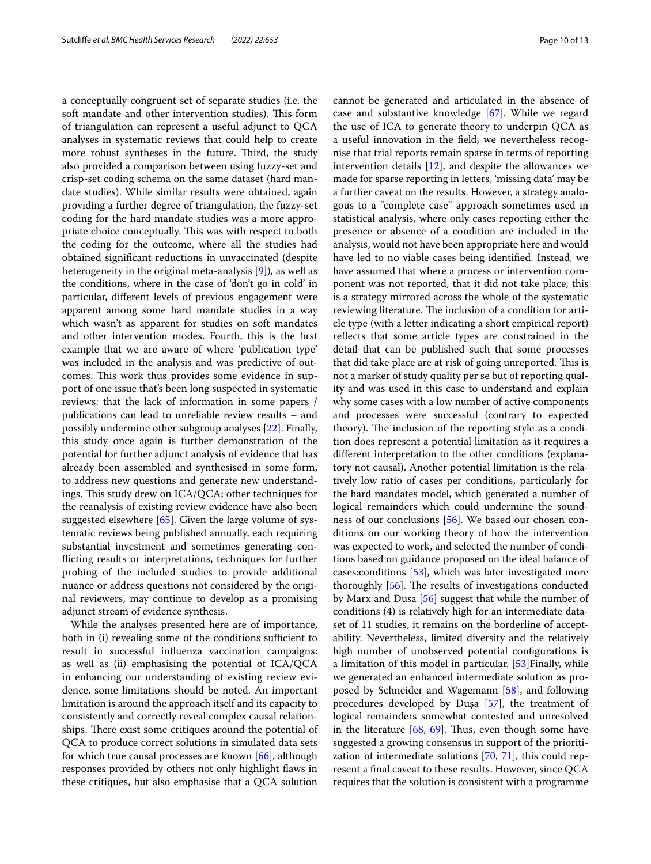a conceptually congruent set of separate studies (i.e. the soft mandate and other intervention studies). This form of triangulation can represent a useful adjunct to QCA analyses in systematic reviews that could help to create more robust syntheses in the future. Third, the study also provided a comparison between using fuzzy-set and crisp-set coding schema on the same dataset (hard mandate studies). While similar results were obtained, again providing a further degree of triangulation, the fuzzy-set coding for the hard mandate studies was a more appropriate choice conceptually. This was with respect to both the coding for the outcome, where all the studies had obtained signifcant reductions in unvaccinated (despite heterogeneity in the original meta-analysis [\[9](#page-10-8)]), as well as the conditions, where in the case of 'don't go in cold' in particular, diferent levels of previous engagement were apparent among some hard mandate studies in a way which wasn't as apparent for studies on soft mandates and other intervention modes. Fourth, this is the frst example that we are aware of where 'publication type' was included in the analysis and was predictive of outcomes. This work thus provides some evidence in support of one issue that's been long suspected in systematic reviews: that the lack of information in some papers / publications can lead to unreliable review results – and possibly undermine other subgroup analyses [\[22\]](#page-11-9). Finally, this study once again is further demonstration of the potential for further adjunct analysis of evidence that has already been assembled and synthesised in some form, to address new questions and generate new understandings. This study drew on ICA/QCA; other techniques for the reanalysis of existing review evidence have also been suggested elsewhere [\[65\]](#page-12-13). Given the large volume of systematic reviews being published annually, each requiring substantial investment and sometimes generating conficting results or interpretations, techniques for further probing of the included studies to provide additional nuance or address questions not considered by the original reviewers, may continue to develop as a promising adjunct stream of evidence synthesis.

While the analyses presented here are of importance, both in (i) revealing some of the conditions sufficient to result in successful infuenza vaccination campaigns: as well as (ii) emphasising the potential of ICA/QCA in enhancing our understanding of existing review evidence, some limitations should be noted. An important limitation is around the approach itself and its capacity to consistently and correctly reveal complex causal relationships. There exist some critiques around the potential of QCA to produce correct solutions in simulated data sets for which true causal processes are known [\[66](#page-12-14)], although responses provided by others not only highlight faws in these critiques, but also emphasise that a QCA solution cannot be generated and articulated in the absence of case and substantive knowledge [[67\]](#page-12-15). While we regard the use of ICA to generate theory to underpin QCA as a useful innovation in the feld; we nevertheless recognise that trial reports remain sparse in terms of reporting intervention details  $[12]$  $[12]$ , and despite the allowances we made for sparse reporting in letters, 'missing data' may be a further caveat on the results. However, a strategy analogous to a ''complete case" approach sometimes used in statistical analysis, where only cases reporting either the presence or absence of a condition are included in the analysis, would not have been appropriate here and would have led to no viable cases being identifed. Instead, we have assumed that where a process or intervention component was not reported, that it did not take place; this is a strategy mirrored across the whole of the systematic reviewing literature. The inclusion of a condition for article type (with a letter indicating a short empirical report) refects that some article types are constrained in the detail that can be published such that some processes that did take place are at risk of going unreported. This is not a marker of study quality per se but of reporting quality and was used in this case to understand and explain why some cases with a low number of active components and processes were successful (contrary to expected theory). The inclusion of the reporting style as a condition does represent a potential limitation as it requires a diferent interpretation to the other conditions (explanatory not causal). Another potential limitation is the relatively low ratio of cases per conditions, particularly for the hard mandates model, which generated a number of logical remainders which could undermine the soundness of our conclusions [[56](#page-12-4)]. We based our chosen conditions on our working theory of how the intervention was expected to work, and selected the number of conditions based on guidance proposed on the ideal balance of cases:conditions [\[53\]](#page-12-1), which was later investigated more thoroughly  $[56]$  $[56]$ . The results of investigations conducted by Marx and Dusa [\[56\]](#page-12-4) suggest that while the number of conditions (4) is relatively high for an intermediate dataset of 11 studies, it remains on the borderline of acceptability. Nevertheless, limited diversity and the relatively high number of unobserved potential confgurations is a limitation of this model in particular. [[53\]](#page-12-1) Finally, while we generated an enhanced intermediate solution as proposed by Schneider and Wagemann [[58\]](#page-12-6), and following procedures developed by Duşa [[57](#page-12-5)], the treatment of logical remainders somewhat contested and unresolved in the literature  $[68, 69]$  $[68, 69]$  $[68, 69]$  $[68, 69]$  $[68, 69]$ . Thus, even though some have suggested a growing consensus in support of the prioritization of intermediate solutions [[70](#page-12-18), [71\]](#page-12-19), this could represent a fnal caveat to these results. However, since QCA requires that the solution is consistent with a programme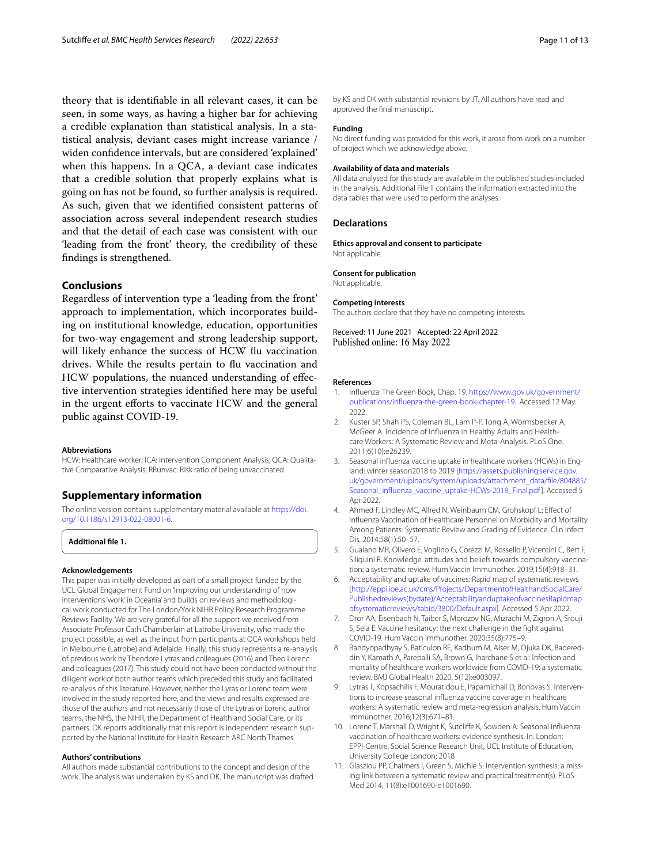theory that is identifable in all relevant cases, it can be seen, in some ways, as having a higher bar for achieving a credible explanation than statistical analysis. In a statistical analysis, deviant cases might increase variance / widen confdence intervals, but are considered 'explained' when this happens. In a QCA, a deviant case indicates that a credible solution that properly explains what is going on has not be found, so further analysis is required. As such, given that we identifed consistent patterns of association across several independent research studies and that the detail of each case was consistent with our 'leading from the front' theory, the credibility of these fndings is strengthened.

# **Conclusions**

Regardless of intervention type a 'leading from the front' approach to implementation, which incorporates building on institutional knowledge, education, opportunities for two-way engagement and strong leadership support, will likely enhance the success of HCW fu vaccination drives. While the results pertain to fu vaccination and HCW populations, the nuanced understanding of efective intervention strategies identifed here may be useful in the urgent efforts to vaccinate HCW and the general public against COVID-19.

#### **Abbreviations**

HCW: Healthcare worker; ICA: Intervention Component Analysis; QCA: Qualitative Comparative Analysis; RRunvac: Risk ratio of being unvaccinated.

### **Supplementary information**

The online version contains supplementary material available at [https://doi.](https://doi.org/10.1186/s12913-022-08001-6) [org/10.1186/s12913-022-08001-6](https://doi.org/10.1186/s12913-022-08001-6).

<span id="page-10-11"></span>**Additional fle 1.**

### **Acknowledgements**

This paper was initially developed as part of a small project funded by the UCL Global Engagement Fund on 'Improving our understanding of how interventions 'work' in Oceania' and builds on reviews and methodological work conducted for The London/York NIHR Policy Research Programme Reviews Facility. We are very grateful for all the support we received from Associate Professor Cath Chamberlain at Latrobe University, who made the project possible, as well as the input from participants at QCA workshops held in Melbourne (Latrobe) and Adelaide. Finally, this study represents a re-analysis of previous work by Theodore Lytras and colleagues (2016) and Theo Lorenc and colleagues (2017). This study could not have been conducted without the diligent work of both author teams which preceded this study and facilitated re-analysis of this literature. However, neither the Lyras or Lorenc team were involved in the study reported here, and the views and results expressed are those of the authors and not necessarily those of the Lytras or Lorenc author teams, the NHS, the NIHR, the Department of Health and Social Care, or its partners. DK reports additionally that this report is independent research supported by the National Institute for Health Research ARC North Thames.

#### **Authors' contributions**

All authors made substantial contributions to the concept and design of the work. The analysis was undertaken by KS and DK. The manuscript was drafted by KS and DK with substantial revisions by JT. All authors have read and approved the fnal manuscript.

### **Funding**

No direct funding was provided for this work, it arose from work on a number of project which we acknowledge above.

#### **Availability of data and materials**

All data analysed for this study are available in the published studies included in the analysis. Additional File 1 contains the information extracted into the data tables that were used to perform the analyses.

#### **Declarations**

**Ethics approval and consent to participate** Not applicable.

#### **Consent for publication**

Not applicable.

#### **Competing interests**

The authors declare that they have no competing interests.

Received: 11 June 2021 Accepted: 22 April 2022 Published online: 16 May 2022

#### **References**

- <span id="page-10-0"></span>1. Infuenza: The Green Book, Chap. 19. [https://www.gov.uk/government/](https://www.gov.uk/government/publications/influenza-the-green-book-chapter-19.) [publications/infuenza-the-green-book-chapter-19.](https://www.gov.uk/government/publications/influenza-the-green-book-chapter-19.). Accessed 12 May 2022.
- <span id="page-10-1"></span>2. Kuster SP, Shah PS, Coleman BL, Lam P-P, Tong A, Wormsbecker A, McGeer A. Incidence of Infuenza in Healthy Adults and Healthcare Workers: A Systematic Review and Meta-Analysis. PLoS One. 2011;6(10):e26239.
- <span id="page-10-2"></span>3. Seasonal infuenza vaccine uptake in healthcare workers (HCWs) in England: winter season2018 to 2019 [[https://assets.publishing.service.gov.](https://assets.publishing.service.gov.uk/government/uploads/system/uploads/attachment_data/file/804885/Seasonal_influenza_vaccine_uptake-HCWs-2018_Final.pdf) [uk/government/uploads/system/uploads/attachment\\_data/fle/804885/](https://assets.publishing.service.gov.uk/government/uploads/system/uploads/attachment_data/file/804885/Seasonal_influenza_vaccine_uptake-HCWs-2018_Final.pdf) Seasonal\_influenza\_vaccine\_uptake-HCWs-2018\_Final.pdf]. Accessed 5 Apr 2022.
- <span id="page-10-3"></span>4. Ahmed F, Lindley MC, Allred N, Weinbaum CM, Grohskopf L: Efect of Infuenza Vaccination of Healthcare Personnel on Morbidity and Mortality Among Patients: Systematic Review and Grading of Evidence. Clin Infect Dis. 2014:58(1):50–57.
- <span id="page-10-4"></span>5. Gualano MR, Olivero E, Voglino G, Corezzi M, Rossello P, Vicentini C, Bert F, Siliquini R. Knowledge, attitudes and beliefs towards compulsory vaccination: a systematic review. Hum Vaccin Immunother. 2019;15(4):918–31.
- <span id="page-10-5"></span>6. Acceptability and uptake of vaccines: Rapid map of systematic reviews [[http://eppi.ioe.ac.uk/cms/Projects/DepartmentofHealthandSocialCare/](http://eppi.ioe.ac.uk/cms/Projects/DepartmentofHealthandSocialCare/Publishedreviews(bydate)/AcceptabilityanduptakeofvaccinesRapidmapofsystematicreviews/tabid/3800/Default.aspx) [Publishedreviews\(bydate\)/AcceptabilityanduptakeofvaccinesRapidmap](http://eppi.ioe.ac.uk/cms/Projects/DepartmentofHealthandSocialCare/Publishedreviews(bydate)/AcceptabilityanduptakeofvaccinesRapidmapofsystematicreviews/tabid/3800/Default.aspx) [ofsystematicreviews/tabid/3800/Default.aspx](http://eppi.ioe.ac.uk/cms/Projects/DepartmentofHealthandSocialCare/Publishedreviews(bydate)/AcceptabilityanduptakeofvaccinesRapidmapofsystematicreviews/tabid/3800/Default.aspx)]. Accessed 5 Apr 2022.
- <span id="page-10-6"></span>7. Dror AA, Eisenbach N, Taiber S, Morozov NG, Mizrachi M, Zigron A, Srouji S, Sela E. Vaccine hesitancy: the next challenge in the fght against COVID-19. Hum Vaccin Immunother. 2020;35(8):775–9.
- <span id="page-10-7"></span>8. Bandyopadhyay S, Baticulon RE, Kadhum M, Alser M, Ojuka DK, Badereddin Y, Kamath A, Parepalli SA, Brown G, Iharchane S et al: Infection and mortality of healthcare workers worldwide from COVID-19: a systematic review. BMJ Global Health 2020, 5(12):e003097.
- <span id="page-10-8"></span>9. Lytras T, Kopsachilis F, Mouratidou E, Papamichail D, Bonovas S. Interventions to increase seasonal infuenza vaccine coverage in healthcare workers: A systematic review and meta-regression analysis. Hum Vaccin Immunother. 2016;12(3):671–81.
- <span id="page-10-9"></span>10. Lorenc T, Marshall D, Wright K, Sutclife K, Sowden A: Seasonal infuenza vaccination of healthcare workers: evidence synthesis. In. London: EPPI-Centre, Social Science Research Unit, UCL Institute of Education, University College London; 2018
- <span id="page-10-10"></span>11. Glasziou PP, Chalmers I, Green S, Michie S: Intervention synthesis: a missing link between a systematic review and practical treatment(s). PLoS Med 2014, 11(8):e1001690-e1001690.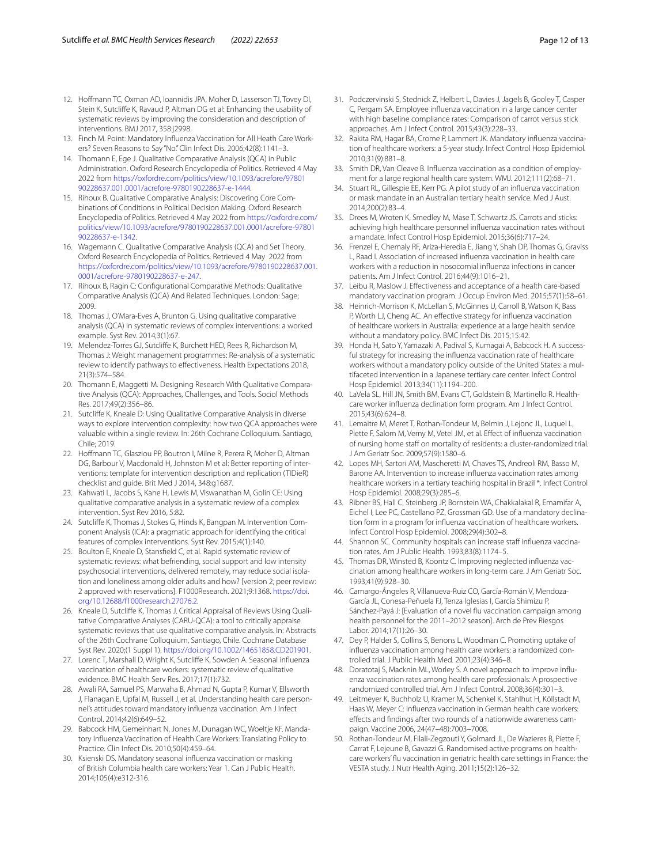- <span id="page-11-0"></span>12. Hofmann TC, Oxman AD, Ioannidis JPA, Moher D, Lasserson TJ, Tovey DI, Stein K, Sutclife K, Ravaud P, Altman DG et al: Enhancing the usability of systematic reviews by improving the consideration and description of interventions. BMJ 2017, 358:j2998.
- <span id="page-11-1"></span>13. Finch M. Point: Mandatory Infuenza Vaccination for All Heath Care Workers? Seven Reasons to Say "No." Clin Infect Dis. 2006;42(8):1141–3.
- <span id="page-11-2"></span>14. Thomann E, Ege J. Qualitative Comparative Analysis (QCA) in Public Administration. Oxford Research Encyclopedia of Politics. Retrieved 4 May 2022 from [https://oxfordre.com/politics/view/10.1093/acrefore/97801](https://oxfordre.com/politics/view/10.1093/acrefore/9780190228637.001.0001/acrefore-9780190228637-e-1444) [90228637.001.0001/acrefore-9780190228637-e-1444](https://oxfordre.com/politics/view/10.1093/acrefore/9780190228637.001.0001/acrefore-9780190228637-e-1444).
- 15. Rihoux B. Qualitative Comparative Analysis: Discovering Core Combinations of Conditions in Political Decision Making. Oxford Research Encyclopedia of Politics. Retrieved 4 May 2022 from [https://oxfordre.com/](https://oxfordre.com/politics/view/10.1093/acrefore/9780190228637.001.0001/acrefore-9780190228637-e-1342) [politics/view/10.1093/acrefore/9780190228637.001.0001/acrefore-97801](https://oxfordre.com/politics/view/10.1093/acrefore/9780190228637.001.0001/acrefore-9780190228637-e-1342) [90228637-e-1342](https://oxfordre.com/politics/view/10.1093/acrefore/9780190228637.001.0001/acrefore-9780190228637-e-1342).
- <span id="page-11-3"></span>16. Wagemann C. Qualitative Comparative Analysis (QCA) and Set Theory. Oxford Research Encyclopedia of Politics. Retrieved 4 May 2022 from [https://oxfordre.com/politics/view/10.1093/acrefore/9780190228637.001.](https://oxfordre.com/politics/view/10.1093/acrefore/9780190228637.001.0001/acrefore-9780190228637-e-247) [0001/acrefore-9780190228637-e-247.](https://oxfordre.com/politics/view/10.1093/acrefore/9780190228637.001.0001/acrefore-9780190228637-e-247)
- <span id="page-11-4"></span>17. Rihoux B, Ragin C: Confgurational Comparative Methods: Qualitative Comparative Analysis (QCA) And Related Techniques. London: Sage; 2009.
- <span id="page-11-5"></span>18. Thomas J, O'Mara-Eves A, Brunton G. Using qualitative comparative analysis (QCA) in systematic reviews of complex interventions: a worked example. Syst Rev. 2014;3(1):67.
- <span id="page-11-6"></span>19. Melendez-Torres GJ, Sutclife K, Burchett HED, Rees R, Richardson M, Thomas J: Weight management programmes: Re-analysis of a systematic review to identify pathways to efectiveness. Health Expectations 2018, 21(3):574–584.
- <span id="page-11-7"></span>20. Thomann E, Maggetti M. Designing Research With Qualitative Comparative Analysis (QCA): Approaches, Challenges, and Tools. Sociol Methods Res. 2017;49(2):356–86.
- <span id="page-11-8"></span>21. Sutclife K, Kneale D: Using Qualitative Comparative Analysis in diverse ways to explore intervention complexity: how two QCA approaches were valuable within a single review. In: 26th Cochrane Colloquium. Santiago, Chile; 2019.
- <span id="page-11-9"></span>22. Hofmann TC, Glasziou PP, Boutron I, Milne R, Perera R, Moher D, Altman DG, Barbour V, Macdonald H, Johnston M et al: Better reporting of interventions: template for intervention description and replication (TIDieR) checklist and guide. Brit Med J 2014, 348:g1687.
- <span id="page-11-10"></span>23. Kahwati L, Jacobs S, Kane H, Lewis M, Viswanathan M, Golin CE: Using qualitative comparative analysis in a systematic review of a complex intervention. Syst Rev 2016, 5:82.
- <span id="page-11-11"></span>24. Sutclife K, Thomas J, Stokes G, Hinds K, Bangpan M. Intervention Component Analysis (ICA): a pragmatic approach for identifying the critical features of complex interventions. Syst Rev. 2015;4(1):140.
- <span id="page-11-12"></span>25. Boulton E, Kneale D, Stansfeld C, et al. Rapid systematic review of systematic reviews: what befriending, social support and low intensity psychosocial interventions, delivered remotely, may reduce social isolation and loneliness among older adults and how? [version 2; peer review: 2 approved with reservations]. F1000Research. 2021;9:1368. [https://doi.](https://doi.org/10.12688/f1000research.27076.2) [org/10.12688/f1000research.27076.2](https://doi.org/10.12688/f1000research.27076.2).
- <span id="page-11-13"></span>26. Kneale D, Sutcliffe K, Thomas J. Critical Appraisal of Reviews Using Qualitative Comparative Analyses (CARU-QCA): a tool to critically appraise systematic reviews that use qualitative comparative analysis. In: Abstracts of the 26th Cochrane Colloquium, Santiago, Chile. Cochrane Database Syst Rev. 2020;(1 Suppl 1). <https://doi.org/10.1002/14651858.CD201901>.
- <span id="page-11-14"></span>27. Lorenc T, Marshall D, Wright K, Sutclife K, Sowden A. Seasonal infuenza vaccination of healthcare workers: systematic review of qualitative evidence. BMC Health Serv Res. 2017;17(1):732.
- <span id="page-11-15"></span>28. Awali RA, Samuel PS, Marwaha B, Ahmad N, Gupta P, Kumar V, Ellsworth J, Flanagan E, Upfal M, Russell J, et al. Understanding health care personnel's attitudes toward mandatory infuenza vaccination. Am J Infect Control. 2014;42(6):649–52.
- <span id="page-11-22"></span>29. Babcock HM, Gemeinhart N, Jones M, Dunagan WC, Woeltje KF. Mandatory Infuenza Vaccination of Health Care Workers: Translating Policy to Practice. Clin Infect Dis. 2010;50(4):459–64.
- <span id="page-11-23"></span>30. Ksienski DS. Mandatory seasonal infuenza vaccination or masking of British Columbia health care workers: Year 1. Can J Public Health. 2014;105(4):e312-316.
- 31. Podczervinski S, Stednick Z, Helbert L, Davies J, Jagels B, Gooley T, Casper C, Pergam SA. Employee infuenza vaccination in a large cancer center with high baseline compliance rates: Comparison of carrot versus stick approaches. Am J Infect Control. 2015;43(3):228–33.
- <span id="page-11-25"></span>32. Rakita RM, Hagar BA, Crome P, Lammert JK. Mandatory infuenza vaccination of healthcare workers: a 5-year study. Infect Control Hosp Epidemiol. 2010;31(9):881–8.
- 33. Smith DR, Van Cleave B. Infuenza vaccination as a condition of employment for a large regional health care system. WMJ. 2012;111(2):68–71.
- <span id="page-11-16"></span>34. Stuart RL, Gillespie EE, Kerr PG. A pilot study of an infuenza vaccination or mask mandate in an Australian tertiary health service. Med J Aust. 2014;200(2):83–4.
- <span id="page-11-17"></span>35. Drees M, Wroten K, Smedley M, Mase T, Schwartz JS. Carrots and sticks: achieving high healthcare personnel infuenza vaccination rates without a mandate. Infect Control Hosp Epidemiol. 2015;36(6):717–24.
- <span id="page-11-24"></span>36. Frenzel E, Chemaly RF, Ariza-Heredia E, Jiang Y, Shah DP, Thomas G, Graviss L, Raad I. Association of increased infuenza vaccination in health care workers with a reduction in nosocomial infuenza infections in cancer patients. Am J Infect Control. 2016;44(9):1016–21.
- <span id="page-11-18"></span>37. Leibu R, Maslow J. Efectiveness and acceptance of a health care-based mandatory vaccination program. J Occup Environ Med. 2015;57(1):58–61.
- <span id="page-11-19"></span>38. Heinrich-Morrison K, McLellan S, McGinnes U, Carroll B, Watson K, Bass P, Worth LJ, Cheng AC. An effective strategy for influenza vaccination of healthcare workers in Australia: experience at a large health service without a mandatory policy. BMC Infect Dis. 2015;15:42.
- 39. Honda H, Sato Y, Yamazaki A, Padival S, Kumagai A, Babcock H. A successful strategy for increasing the infuenza vaccination rate of healthcare workers without a mandatory policy outside of the United States: a multifaceted intervention in a Japanese tertiary care center. Infect Control Hosp Epidemiol. 2013;34(11):1194–200.
- 40. LaVela SL, Hill JN, Smith BM, Evans CT, Goldstein B, Martinello R. Healthcare worker infuenza declination form program. Am J Infect Control. 2015;43(6):624–8.
- 41. Lemaitre M, Meret T, Rothan-Tondeur M, Belmin J, Lejonc JL, Luquel L, Piette F, Salom M, Verny M, Vetel JM, et al. Effect of influenza vaccination of nursing home staff on mortality of residents: a cluster-randomized trial. J Am Geriatr Soc. 2009;57(9):1580–6.
- 42. Lopes MH, Sartori AM, Mascheretti M, Chaves TS, Andreoli RM, Basso M, Barone AA. Intervention to increase infuenza vaccination rates among healthcare workers in a tertiary teaching hospital in Brazil \*. Infect Control Hosp Epidemiol. 2008;29(3):285–6.
- 43. Ribner BS, Hall C, Steinberg JP, Bornstein WA, Chakkalakal R, Emamifar A, Eichel I, Lee PC, Castellano PZ, Grossman GD. Use of a mandatory declination form in a program for infuenza vaccination of healthcare workers. Infect Control Hosp Epidemiol. 2008;29(4):302–8.
- 44. Shannon SC. Community hospitals can increase staff influenza vaccination rates. Am J Public Health. 1993;83(8):1174–5.
- <span id="page-11-20"></span>45. Thomas DR, Winsted B, Koontz C. Improving neglected infuenza vaccination among healthcare workers in long-term care. J Am Geriatr Soc. 1993;41(9):928–30.
- <span id="page-11-21"></span>46. Camargo-Ángeles R, Villanueva-Ruiz CO, García-Román V, Mendoza-García JL, Conesa-Peñuela FJ, Tenza Iglesias I, García Shimizu P, Sánchez-Payá J: [Evaluation of a novel fu vaccination campaign among health personnel for the 2011–2012 season]. Arch de Prev Riesgos Labor. 2014;17(1):26–30.
- 47. Dey P, Halder S, Collins S, Benons L, Woodman C. Promoting uptake of infuenza vaccination among health care workers: a randomized controlled trial. J Public Health Med. 2001;23(4):346–8.
- 48. Doratotaj S, Macknin ML, Worley S. A novel approach to improve infuenza vaccination rates among health care professionals: A prospective randomized controlled trial. Am J Infect Control. 2008;36(4):301–3.
- 49. Leitmeyer K, Buchholz U, Kramer M, Schenkel K, Stahlhut H, Köllstadt M, Haas W, Meyer C: Infuenza vaccination in German health care workers: efects and fndings after two rounds of a nationwide awareness campaign. Vaccine 2006, 24(47–48):7003–7008.
- 50. Rothan-Tondeur M, Filali-Zegzouti Y, Golmard JL, De Wazieres B, Piette F, Carrat F, Lejeune B, Gavazzi G. Randomised active programs on healthcare workers' fu vaccination in geriatric health care settings in France: the VESTA study. J Nutr Health Aging. 2011;15(2):126–32.